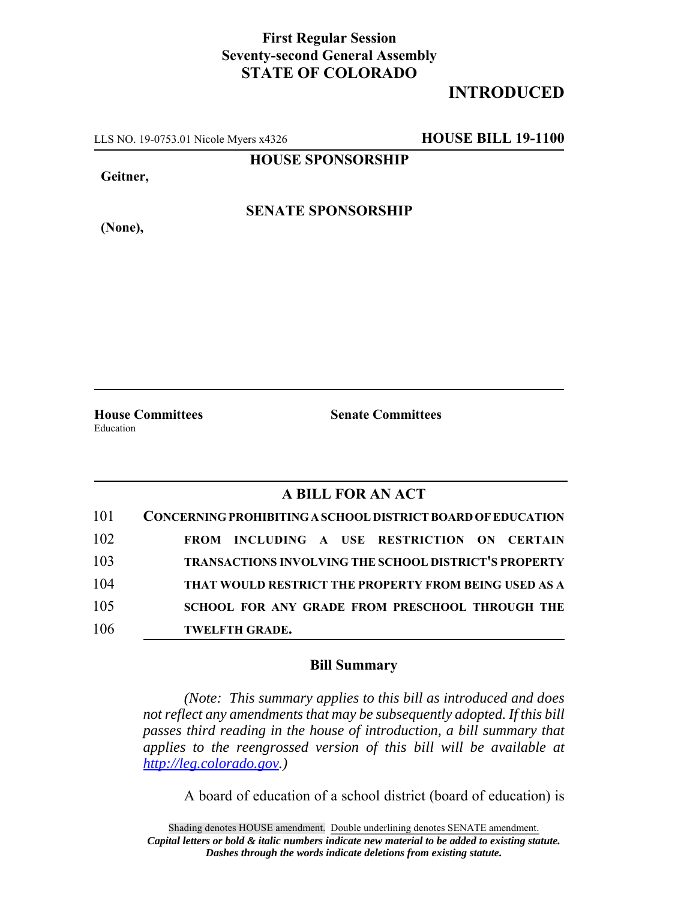## **First Regular Session Seventy-second General Assembly STATE OF COLORADO**

## **INTRODUCED**

LLS NO. 19-0753.01 Nicole Myers x4326 **HOUSE BILL 19-1100**

**HOUSE SPONSORSHIP**

**Geitner,**

**(None),**

**SENATE SPONSORSHIP**

Education

**House Committees Senate Committees**

## **A BILL FOR AN ACT**

| 101 | <b>CONCERNING PROHIBITING A SCHOOL DISTRICT BOARD OF EDUCATION</b> |
|-----|--------------------------------------------------------------------|
| 102 | FROM INCLUDING A USE RESTRICTION ON CERTAIN                        |
| 103 | TRANSACTIONS INVOLVING THE SCHOOL DISTRICT'S PROPERTY              |
| 104 | THAT WOULD RESTRICT THE PROPERTY FROM BEING USED AS A              |
| 105 | <b>SCHOOL FOR ANY GRADE FROM PRESCHOOL THROUGH THE</b>             |
| 106 | <b>TWELFTH GRADE.</b>                                              |

## **Bill Summary**

*(Note: This summary applies to this bill as introduced and does not reflect any amendments that may be subsequently adopted. If this bill passes third reading in the house of introduction, a bill summary that applies to the reengrossed version of this bill will be available at http://leg.colorado.gov.)*

A board of education of a school district (board of education) is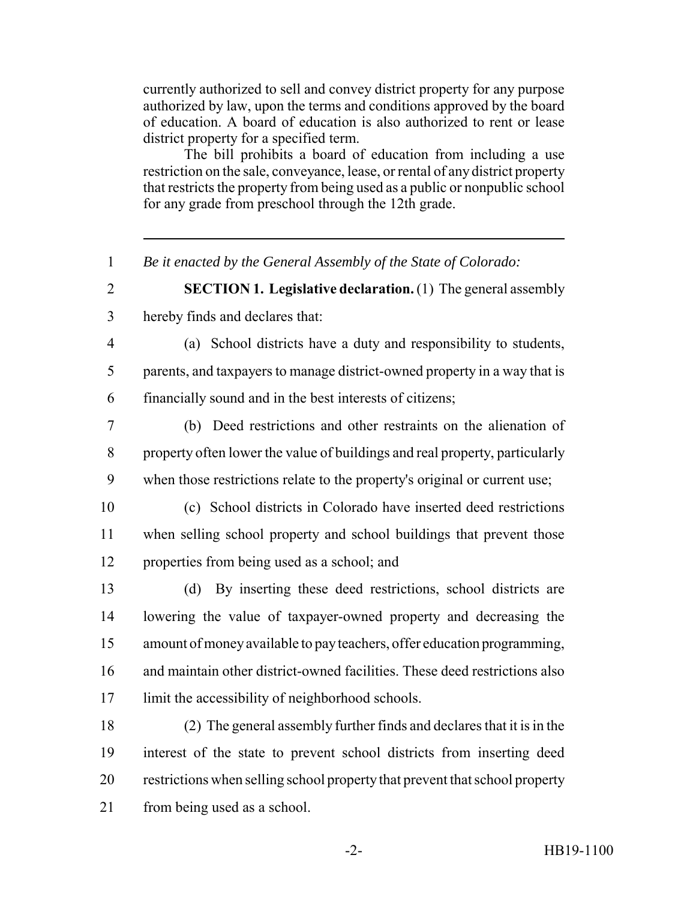currently authorized to sell and convey district property for any purpose authorized by law, upon the terms and conditions approved by the board of education. A board of education is also authorized to rent or lease district property for a specified term.

The bill prohibits a board of education from including a use restriction on the sale, conveyance, lease, or rental of any district property that restricts the property from being used as a public or nonpublic school for any grade from preschool through the 12th grade.

- *Be it enacted by the General Assembly of the State of Colorado:*
- 

 **SECTION 1. Legislative declaration.** (1) The general assembly hereby finds and declares that:

 (a) School districts have a duty and responsibility to students, parents, and taxpayers to manage district-owned property in a way that is financially sound and in the best interests of citizens;

 (b) Deed restrictions and other restraints on the alienation of property often lower the value of buildings and real property, particularly when those restrictions relate to the property's original or current use;

 (c) School districts in Colorado have inserted deed restrictions when selling school property and school buildings that prevent those properties from being used as a school; and

 (d) By inserting these deed restrictions, school districts are lowering the value of taxpayer-owned property and decreasing the amount of money available to pay teachers, offer education programming, and maintain other district-owned facilities. These deed restrictions also limit the accessibility of neighborhood schools.

 (2) The general assembly further finds and declares that it is in the interest of the state to prevent school districts from inserting deed restrictions when selling school property that prevent that school property from being used as a school.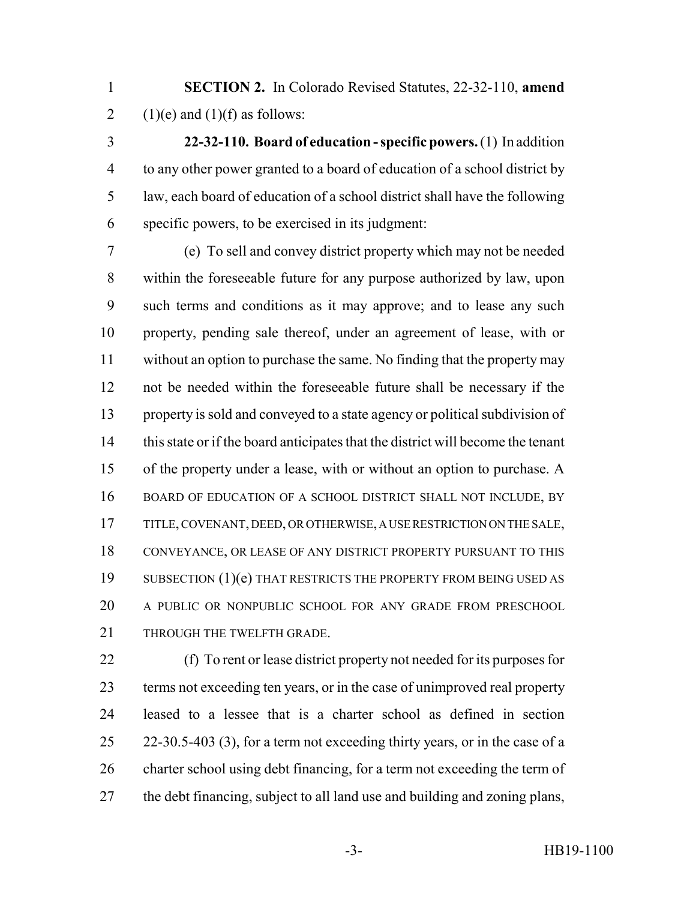**SECTION 2.** In Colorado Revised Statutes, 22-32-110, **amend** 2 (1)(e) and (1)(f) as follows:

 **22-32-110. Board of education - specific powers.** (1) In addition to any other power granted to a board of education of a school district by law, each board of education of a school district shall have the following specific powers, to be exercised in its judgment:

 (e) To sell and convey district property which may not be needed within the foreseeable future for any purpose authorized by law, upon such terms and conditions as it may approve; and to lease any such property, pending sale thereof, under an agreement of lease, with or without an option to purchase the same. No finding that the property may not be needed within the foreseeable future shall be necessary if the property is sold and conveyed to a state agency or political subdivision of this state or if the board anticipates that the district will become the tenant of the property under a lease, with or without an option to purchase. A BOARD OF EDUCATION OF A SCHOOL DISTRICT SHALL NOT INCLUDE, BY TITLE, COVENANT, DEED, OR OTHERWISE, A USE RESTRICTION ON THE SALE, CONVEYANCE, OR LEASE OF ANY DISTRICT PROPERTY PURSUANT TO THIS 19 SUBSECTION (1)(e) THAT RESTRICTS THE PROPERTY FROM BEING USED AS A PUBLIC OR NONPUBLIC SCHOOL FOR ANY GRADE FROM PRESCHOOL THROUGH THE TWELFTH GRADE.

 (f) To rent or lease district property not needed for its purposes for terms not exceeding ten years, or in the case of unimproved real property leased to a lessee that is a charter school as defined in section 22-30.5-403 (3), for a term not exceeding thirty years, or in the case of a charter school using debt financing, for a term not exceeding the term of the debt financing, subject to all land use and building and zoning plans,